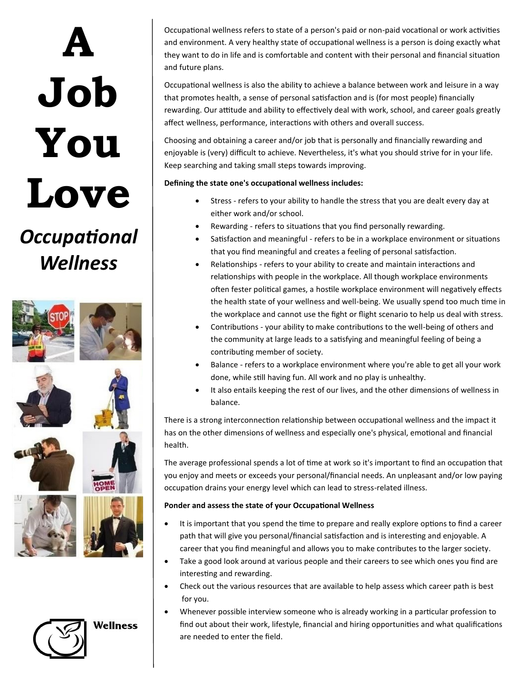# **A Job You Love**

## *Occupational Wellness*



**Wellness** 

Occupational wellness refers to state of a person's paid or non-paid vocational or work activities and environment. A very healthy state of occupational wellness is a person is doing exactly what they want to do in life and is comfortable and content with their personal and financial situation and future plans.

Occupational wellness is also the ability to achieve a balance between work and leisure in a way that promotes health, a sense of personal satisfaction and is (for most people) financially rewarding. Our attitude and ability to effectively deal with work, school, and career goals greatly affect wellness, performance, interactions with others and overall success.

Choosing and obtaining a career and/or job that is personally and financially rewarding and enjoyable is (very) difficult to achieve. Nevertheless, it's what you should strive for in your life. Keep searching and taking small steps towards improving.

### **Defining the state one's occupational wellness includes:**

- Stress refers to your ability to handle the stress that you are dealt every day at either work and/or school.
- Rewarding refers to situations that you find personally rewarding.
- Satisfaction and meaningful refers to be in a workplace environment or situations that you find meaningful and creates a feeling of personal satisfaction.
- Relationships refers to your ability to create and maintain interactions and relationships with people in the workplace. All though workplace environments often fester political games, a hostile workplace environment will negatively effects the health state of your wellness and well-being. We usually spend too much time in the workplace and cannot use the fight or flight scenario to help us deal with stress.
- Contributions your ability to make contributions to the well-being of others and the community at large leads to a satisfying and meaningful feeling of being a contributing member of society.
- Balance refers to a workplace environment where you're able to get all your work done, while still having fun. All work and no play is unhealthy.
- It also entails keeping the rest of our lives, and the other dimensions of wellness in balance.

There is a strong interconnection relationship between occupational wellness and the impact it has on the other dimensions of wellness and especially one's physical, emotional and financial health.

The average professional spends a lot of time at work so it's important to find an occupation that you enjoy and meets or exceeds your personal/financial needs. An unpleasant and/or low paying occupation drains your energy level which can lead to stress-related illness.

#### **Ponder and assess the state of your Occupational Wellness**

- It is important that you spend the time to prepare and really explore options to find a career path that will give you personal/financial satisfaction and is interesting and enjoyable. A career that you find meaningful and allows you to make contributes to the larger society.
- Take a good look around at various people and their careers to see which ones you find are interesting and rewarding.
- Check out the various resources that are available to help assess which career path is best for you.
- Whenever possible interview someone who is already working in a particular profession to find out about their work, lifestyle, financial and hiring opportunities and what qualifications are needed to enter the field.